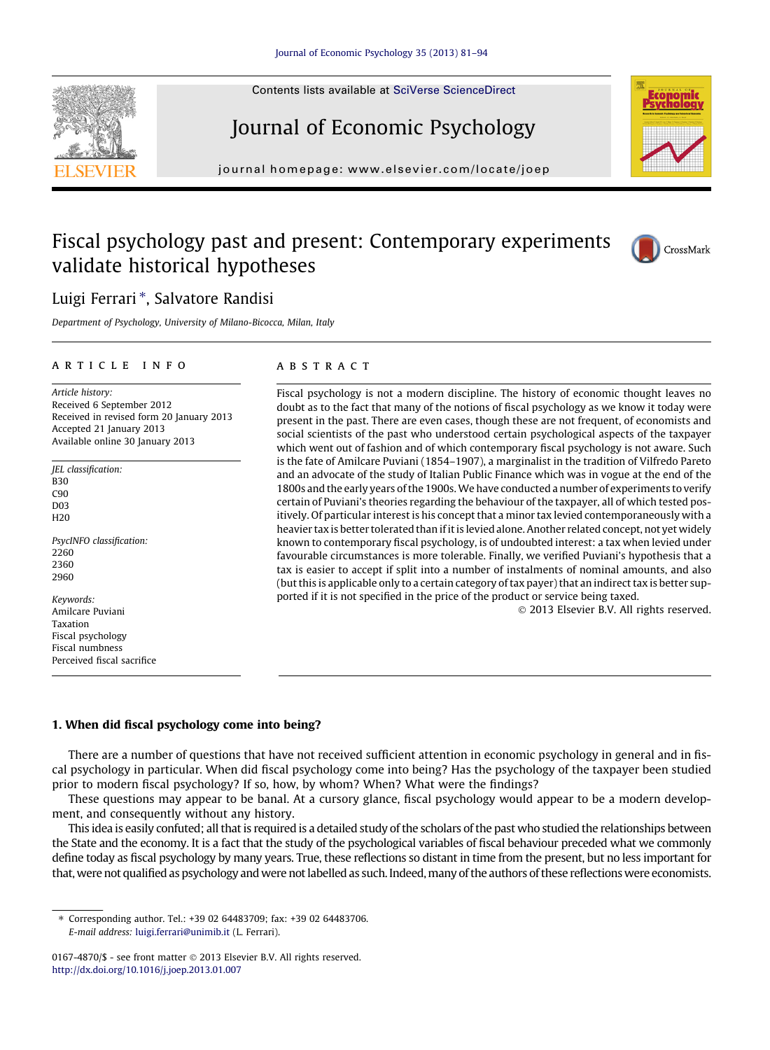Contents lists available at [SciVerse ScienceDirect](http://www.sciencedirect.com/science/journal/01674870)

## Journal of Economic Psychology

journal homepage: [www.elsevier.com/locate/joep](http://www.elsevier.com/locate/joep)

### Fiscal psychology past and present: Contemporary experiments validate historical hypotheses

### Luigi Ferrari ⇑ , Salvatore Randisi

Department of Psychology, University of Milano-Bicocca, Milan, Italy

#### article info

Article history: Received 6 September 2012 Received in revised form 20 January 2013 Accepted 21 January 2013 Available online 30 January 2013

B30 C90 D03 H20 PsycINFO classification: 2260 2360 2960 Keywords:

JEL classification:

Amilcare Puviani Taxation Fiscal psychology Fiscal numbness Perceived fiscal sacrifice

#### **ABSTRACT**

Fiscal psychology is not a modern discipline. The history of economic thought leaves no doubt as to the fact that many of the notions of fiscal psychology as we know it today were present in the past. There are even cases, though these are not frequent, of economists and social scientists of the past who understood certain psychological aspects of the taxpayer which went out of fashion and of which contemporary fiscal psychology is not aware. Such is the fate of Amilcare Puviani (1854–1907), a marginalist in the tradition of Vilfredo Pareto and an advocate of the study of Italian Public Finance which was in vogue at the end of the 1800s and the early years of the 1900s.We have conducted a number of experiments to verify certain of Puviani's theories regarding the behaviour of the taxpayer, all of which tested positively. Of particular interest is his concept that a minor tax levied contemporaneously with a heavier tax is better tolerated than if it is levied alone. Another related concept, not yet widely known to contemporary fiscal psychology, is of undoubted interest: a tax when levied under favourable circumstances is more tolerable. Finally, we verified Puviani's hypothesis that a tax is easier to accept if split into a number of instalments of nominal amounts, and also (but this is applicable only to a certain category of tax payer) that an indirect tax is better supported if it is not specified in the price of the product or service being taxed.

- 2013 Elsevier B.V. All rights reserved.

#### 1. When did fiscal psychology come into being?

There are a number of questions that have not received sufficient attention in economic psychology in general and in fiscal psychology in particular. When did fiscal psychology come into being? Has the psychology of the taxpayer been studied prior to modern fiscal psychology? If so, how, by whom? When? What were the findings?

These questions may appear to be banal. At a cursory glance, fiscal psychology would appear to be a modern development, and consequently without any history.

This idea is easily confuted; all that is required is a detailed study of the scholars of the past who studied the relationships between the State and the economy. It is a fact that the study of the psychological variables of fiscal behaviour preceded what we commonly define today as fiscal psychology by many years. True, these reflections so distant in time from the present, but no less important for that, were not qualified as psychology and were not labelled as such. Indeed,many of the authors of these reflections were economists.

⇑ Corresponding author. Tel.: +39 02 64483709; fax: +39 02 64483706. E-mail address: [luigi.ferrari@unimib.it](mailto:luigi.ferrari@unimib.it) (L. Ferrari).







<sup>0167-4870/\$ -</sup> see front matter © 2013 Elsevier B.V. All rights reserved. <http://dx.doi.org/10.1016/j.joep.2013.01.007>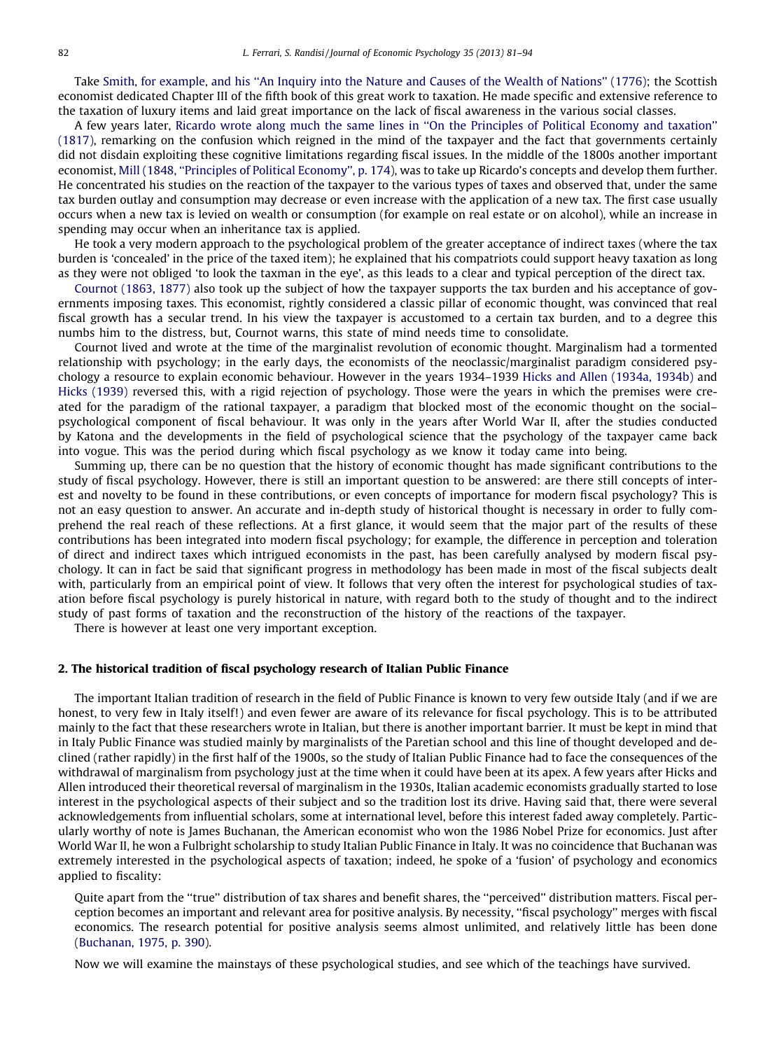Take [Smith, for example, and his ''An Inquiry into the Nature and Causes of the Wealth of Nations'' \(1776\)](#page--1-0); the Scottish economist dedicated Chapter III of the fifth book of this great work to taxation. He made specific and extensive reference to the taxation of luxury items and laid great importance on the lack of fiscal awareness in the various social classes.

A few years later, [Ricardo wrote along much the same lines in ''On the Principles of Political Economy and taxation''](#page--1-0) [\(1817\)](#page--1-0), remarking on the confusion which reigned in the mind of the taxpayer and the fact that governments certainly did not disdain exploiting these cognitive limitations regarding fiscal issues. In the middle of the 1800s another important economist, [Mill \(1848, ''Principles of Political Economy'', p. 174](#page--1-0)), was to take up Ricardo's concepts and develop them further. He concentrated his studies on the reaction of the taxpayer to the various types of taxes and observed that, under the same tax burden outlay and consumption may decrease or even increase with the application of a new tax. The first case usually occurs when a new tax is levied on wealth or consumption (for example on real estate or on alcohol), while an increase in spending may occur when an inheritance tax is applied.

He took a very modern approach to the psychological problem of the greater acceptance of indirect taxes (where the tax burden is 'concealed' in the price of the taxed item); he explained that his compatriots could support heavy taxation as long as they were not obliged 'to look the taxman in the eye', as this leads to a clear and typical perception of the direct tax.

[Cournot \(1863, 1877\)](#page--1-0) also took up the subject of how the taxpayer supports the tax burden and his acceptance of governments imposing taxes. This economist, rightly considered a classic pillar of economic thought, was convinced that real fiscal growth has a secular trend. In his view the taxpayer is accustomed to a certain tax burden, and to a degree this numbs him to the distress, but, Cournot warns, this state of mind needs time to consolidate.

Cournot lived and wrote at the time of the marginalist revolution of economic thought. Marginalism had a tormented relationship with psychology; in the early days, the economists of the neoclassic/marginalist paradigm considered psychology a resource to explain economic behaviour. However in the years 1934–1939 [Hicks and Allen \(1934a, 1934b\)](#page--1-0) and [Hicks \(1939\)](#page--1-0) reversed this, with a rigid rejection of psychology. Those were the years in which the premises were created for the paradigm of the rational taxpayer, a paradigm that blocked most of the economic thought on the social– psychological component of fiscal behaviour. It was only in the years after World War II, after the studies conducted by Katona and the developments in the field of psychological science that the psychology of the taxpayer came back into vogue. This was the period during which fiscal psychology as we know it today came into being.

Summing up, there can be no question that the history of economic thought has made significant contributions to the study of fiscal psychology. However, there is still an important question to be answered: are there still concepts of interest and novelty to be found in these contributions, or even concepts of importance for modern fiscal psychology? This is not an easy question to answer. An accurate and in-depth study of historical thought is necessary in order to fully comprehend the real reach of these reflections. At a first glance, it would seem that the major part of the results of these contributions has been integrated into modern fiscal psychology; for example, the difference in perception and toleration of direct and indirect taxes which intrigued economists in the past, has been carefully analysed by modern fiscal psychology. It can in fact be said that significant progress in methodology has been made in most of the fiscal subjects dealt with, particularly from an empirical point of view. It follows that very often the interest for psychological studies of taxation before fiscal psychology is purely historical in nature, with regard both to the study of thought and to the indirect study of past forms of taxation and the reconstruction of the history of the reactions of the taxpayer.

There is however at least one very important exception.

#### 2. The historical tradition of fiscal psychology research of Italian Public Finance

The important Italian tradition of research in the field of Public Finance is known to very few outside Italy (and if we are honest, to very few in Italy itself!) and even fewer are aware of its relevance for fiscal psychology. This is to be attributed mainly to the fact that these researchers wrote in Italian, but there is another important barrier. It must be kept in mind that in Italy Public Finance was studied mainly by marginalists of the Paretian school and this line of thought developed and declined (rather rapidly) in the first half of the 1900s, so the study of Italian Public Finance had to face the consequences of the withdrawal of marginalism from psychology just at the time when it could have been at its apex. A few years after Hicks and Allen introduced their theoretical reversal of marginalism in the 1930s, Italian academic economists gradually started to lose interest in the psychological aspects of their subject and so the tradition lost its drive. Having said that, there were several acknowledgements from influential scholars, some at international level, before this interest faded away completely. Particularly worthy of note is James Buchanan, the American economist who won the 1986 Nobel Prize for economics. Just after World War II, he won a Fulbright scholarship to study Italian Public Finance in Italy. It was no coincidence that Buchanan was extremely interested in the psychological aspects of taxation; indeed, he spoke of a 'fusion' of psychology and economics applied to fiscality:

Quite apart from the ''true'' distribution of tax shares and benefit shares, the ''perceived'' distribution matters. Fiscal perception becomes an important and relevant area for positive analysis. By necessity, ''fiscal psychology'' merges with fiscal economics. The research potential for positive analysis seems almost unlimited, and relatively little has been done ([Buchanan, 1975, p. 390\)](#page--1-0).

Now we will examine the mainstays of these psychological studies, and see which of the teachings have survived.